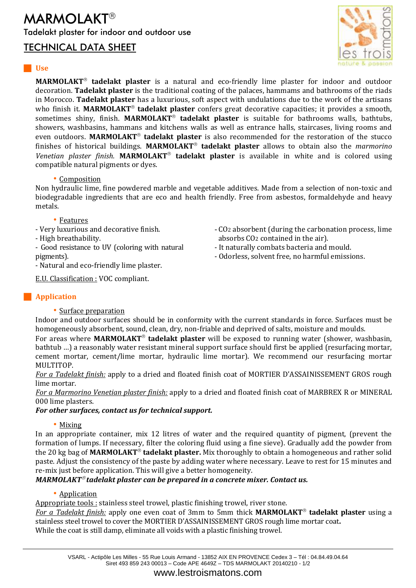## **MARMOLAKT<sup>®</sup>** Tadelakt plaster for indoor and outdoor use

### TECHNICAL DATA SHEET



### **Use**

**MARMOLAKT<sup>®</sup> tadelakt plaster** is a natural and eco-friendly lime plaster for indoor and outdoor decoration. **Tadelakt plaster** is the traditional coating of the palaces, hammams and bathrooms of the riads in Morocco. **Tadelakt plaster** has a luxurious, soft aspect with undulations due to the work of the artisans who finish it. **MARMOLAKT<sup>®</sup> tadelakt plaster** confers great decorative capacities; it provides a smooth, sometimes shiny, finish. MARMOLAKT<sup>®</sup> tadelakt plaster is suitable for bathrooms walls, bathtubs, showers, washbasins, hammans and kitchens walls as well as entrance halls, staircases, living rooms and even outdoors. MARMOLAKT<sup>®</sup> tadelakt plaster is also recommended for the restoration of the stucco finishes of historical buildings. MARMOLAKT<sup>®</sup> tadelakt plaster allows to obtain also the *marmorino* Venetian plaster finish. **MARMOLAKT<sup>®</sup> tadelakt plaster** is available in white and is colored using compatible natural pigments or dyes.

### • Composition

Non hydraulic lime, fine powdered marble and vegetable additives. Made from a selection of non-toxic and biodegradable ingredients that are eco and health friendly. Free from asbestos, formaldehyde and heavy metals.

- CO2 absorbent (during the carbonation process, lime

absorbs CO2 contained in the air). - It naturally combats bacteria and mould. - Odorless, solvent free, no harmful emissions.

### • Features

- Very luxurious and decorative finish.

- High breathability.

- Good resistance to UV (coloring with natural pigments).

- Natural and eco-friendly lime plaster.

E.U. Classification : VOC compliant.

### **Application**

• Surface preparation

Indoor and outdoor surfaces should be in conformity with the current standards in force. Surfaces must be homogeneously absorbent, sound, clean, dry, non-friable and deprived of salts, moisture and moulds.

For areas where **MARMOLAKT<sup>®</sup> tadelakt plaster** will be exposed to running water (shower, washbasin, bathtub ...) a reasonably water resistant mineral support surface should first be applied (resurfacing mortar, cement mortar, cement/lime mortar, hydraulic lime mortar). We recommend our resurfacing mortar MULTITOP.

*For a Tadelakt finish:* apply to a dried and floated finish coat of MORTIER D'ASSAINISSEMENT GROS rough lime mortar.

*For a Marmorino Venetian plaster finish:* apply to a dried and floated finish coat of MARBREX R or MINERAL 000 lime plasters.

### *For other surfaces, contact us for technical support.*

### • Mixing

In an appropriate container, mix 12 litres of water and the required quantity of pigment, (prevent the formation of lumps. If necessary, filter the coloring fluid using a fine sieve). Gradually add the powder from the 20 kg bag of **MARMOLAKT tadelakt plaster.** Mix thoroughly to obtain a homogeneous and rather solid paste. Adjust the consistency of the paste by adding water where necessary. Leave to rest for 15 minutes and re-mix just before application. This will give a better homogeneity.

*MARMOLAKT<sup>®</sup> tadelakt plaster can be prepared in a concrete mixer. Contact us.* 

### • Application

Appropriate tools : stainless steel trowel, plastic finishing trowel, river stone.

*For a Tadelakt finish:* apply one even coat of 3mm to 5mm thick **MARMOLAKT<sup>®</sup> tadelakt plaster** using a stainless steel trowel to cover the MORTIER D'ASSAINISSEMENT GROS rough lime mortar coat**.** While the coat is still damp, eliminate all voids with a plastic finishing trowel.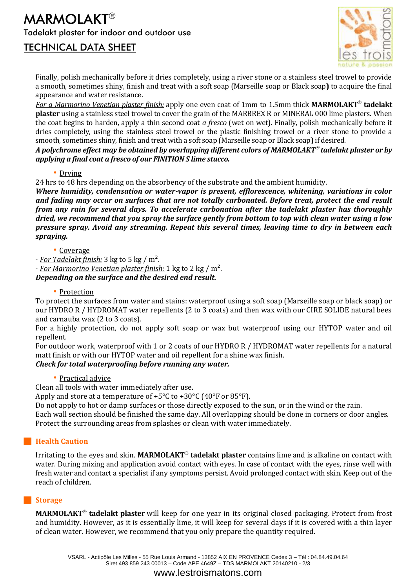# **MARMOLAKT<sup>®</sup>** Tadelakt plaster for indoor and outdoor use

## TECHNICAL DATA SHEET



Finally, polish mechanically before it dries completely, using a river stone or a stainless steel trowel to provide a smooth, sometimes shiny, finish and treat with a soft soap (Marseille soap or Black soap**)** to acquire the final appearance and water resistance.

*For a Marmorino Venetian plaster finish:* apply one even coat of 1mm to 1.5mm thick **MARMOLAKT<sup>®</sup> tadelakt plaster** using a stainless steel trowel to cover the grain of the MARBREX R or MINERAL 000 lime plasters. When the coat begins to harden, apply a thin second coat *a fresco* (wet on wet). Finally, polish mechanically before it dries completely, using the stainless steel trowel or the plastic finishing trowel or a river stone to provide a smooth, sometimes shiny, finish and treat with a soft soap (Marseille soap or Black soap**)** if desired.

*A polychrome effect may be obtained by overlapping different colors of MARMOLAKT tadelakt plaster or by applying a final coat a fresco of our FINITION S lime stucco.*

### • Drying

24 hrs to 48 hrs depending on the absorbency of the substrate and the ambient humidity.

*Where humidity, condensation or water-vapor is present, efflorescence, whitening, variations in color and fading may occur on surfaces that are not totally carbonated. Before treat, protect the end result from any rain for several days. To accelerate carbonation after the tadelakt plaster has thoroughly dried, we recommend that you spray the surface gently from bottom to top with clean water using a low pressure spray. Avoid any streaming. Repeat this several times, leaving time to dry in between each spraying.*

• Coverage

- *For Tadelakt finish:* 3 kg to 5 kg / m².

- *For Marmorino Venetian plaster finish:* 1 kg to 2 kg / m².

*Depending on the surface and the desired end result.*

• Protection

To protect the surfaces from water and stains: waterproof using a soft soap (Marseille soap or black soap) or our HYDRO R / HYDROMAT water repellents (2 to 3 coats) and then wax with our CIRE SOLIDE natural bees and carnauba wax (2 to 3 coats).

For a highly protection, do not apply soft soap or wax but waterproof using our HYTOP water and oil repellent.

For outdoor work, waterproof with 1 or 2 coats of our HYDRO R / HYDROMAT water repellents for a natural matt finish or with our HYTOP water and oil repellent for a shine wax finish.

### *Check for total waterproofing before running any water.*

• Practical advice

Clean all tools with water immediately after use.

Apply and store at a temperature of  $+5^{\circ}$ C to  $+30^{\circ}$ C (40 $^{\circ}$ F or 85 $^{\circ}$ F).

Do not apply to hot or damp surfaces or those directly exposed to the sun, or in the wind or the rain.

Each wall section should be finished the same day. All overlapping should be done in corners or door angles. Protect the surrounding areas from splashes or clean with water immediately.

### **Health Caution**

Irritating to the eyes and skin. MARMOLAKT<sup>®</sup> tadelakt plaster contains lime and is alkaline on contact with water. During mixing and application avoid contact with eyes. In case of contact with the eyes, rinse well with fresh water and contact a specialist if any symptoms persist. Avoid prolonged contact with skin. Keep out of the reach of children.

### **Storage**

**MARMOLAKT<sup>®</sup> tadelakt plaster** will keep for one year in its original closed packaging. Protect from frost and humidity. However, as it is essentially lime, it will keep for several days if it is covered with a thin layer of clean water. However, we recommend that you only prepare the quantity required.